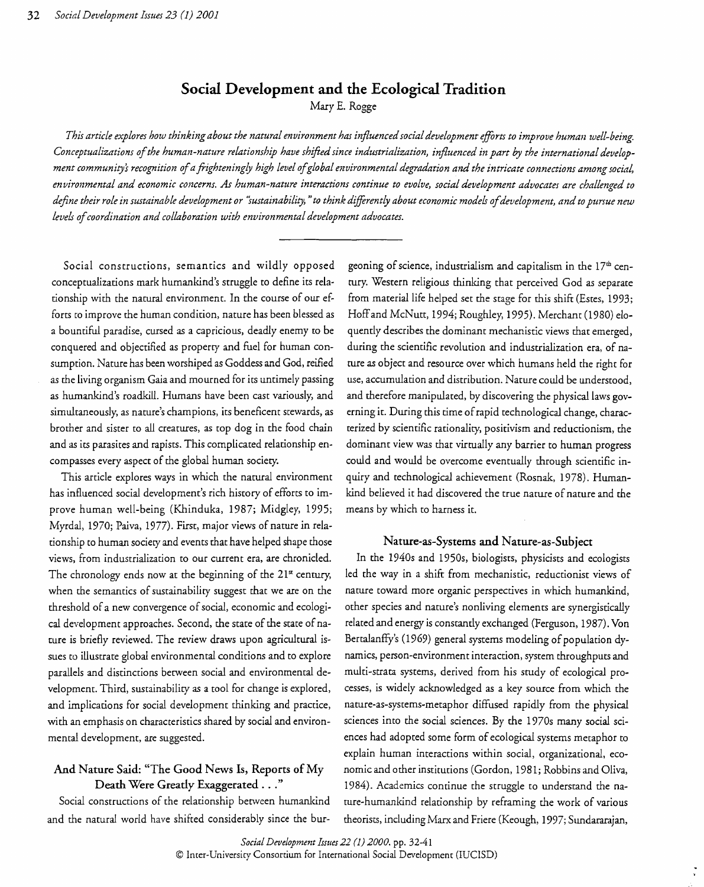# **Social Development and the Ecological Tradition**

Mary E. Rogge

*This article explores how thinking about the natural environment has influencedsocialdevelopment effirts to improve human well-being. Conceptualizations ofthe human-nature relationship have shifted since industrialization, influenced in part by the international development community's recognition ofafrighteningly high level ofglobal environmental degradation and the intricate connections among social, environmental and economic concerns. As human-nature interactions continue to evolve, social development advocates are challenged to define their role in sustainable development or 'sustainability, "to think diffirentfy about economic models ofdevelopment, and to pursue new levels ofcoordination and collaboration with environmental development advocates.* 

conceptualizations mark humankind's struggle to define its rela- tury. Western religious thinking that perceived God as separate forts co improve the human condition, nature has been blessed as Hoffand McNutt, 1994; Roughley, 1995). Merchant (1980) eloa bountiful paradise, cursed as a capricious, deadly enemy to be quently describes the dominant mechanistic views that emerged, conquered and objectified as property and fuel for human con during the scientific revolution and industrialization era, of nasumption. Nature has been worshiped as Goddess and God, reified ture as object and resource over which humans held the right for as the living organism Gaia and mourned for its untimely passing use, accumulation and distribution. Nature could be understood, as hwnankind's roadkill. Hwnans have been cast variously, and and therefore manipulated, by discovering the physical laws govsimultaneously, as nature's champions, its beneficent stewards, as erning it. During this time ofrapid technological change, characbrother and sister to all creatures, as top dog in the food chain terized by scientific rationality, positivism and reductionism, the and as its parasites and rapists. This complicated relationship en- dominant view was that virtually any barrier to human progress compasses every aspect of the global human society. could and would be overcome eventually through scientific in-

has influenced social development's rich history of efforts to im- kind believed it had discovered the true nature of nature and the prove human well-being (Khinduka, 1987; Midgley, 1995; means by which to harness it. Myrdal, 1970; Paiva, 1977). First, major views of nature *in* relationship to human society and events that have helped shape those Nature-as-Systems **and** Nature-as-Subject views, from industrialization to our current era, are chronicled. In the 1940s and 1950s, biologists, physicists and ecologists The chronology ends now at the beginning of the 21<sup>x</sup> century, led the way in a shift from mechanistic, reductionist views of when the semantics of sustainability suggest that we are on the nature toward more organic perspectives in which humankind, threshold of a new convergence of social, economic and ecologi- other species and nature's nonliving elements are synergistically cal development approaches. Second, the state of the state of na-<br>related and energy is constantly exchanged (Ferguson, 1987). Von ture is briefly reviewed. The review draws upon agricultural is-<br>Bertalanffy's (1969) general systems modeling of population dysues to illustrate global environmental conditions and to explore namics, person-environment interaction, system throughputs and parallels and distinctions between social and environmental de- multi-strata systems, derived from his study of ecological provelopment. Third, sustainability as a tool for change is explored, cesses, is widely acknowledged as a key source from which the and implications for social development thinking and practice, nature-as-systems-metaphor diffused rapidly from the physical with an emphasis on characteristics shared by social and environ-<br>sciences into the social sciences. By the *1970s* many social scimental development, are suggested. ences had adopted some form of ecological systems metaphor to

and the natural world have shifted considerably since the bur- theorists, including Marx and Friere (Keough, 1997; Sundararajan,

Social constructions, semantics and wildly opposed geoning of science, industrialism and capitalism in the  $17<sup>th</sup>$  centionship with the natural environment. In the course of our ef- from material life helped set the stage for this shift (Estes, 1993; This article explores ways in which the natural environment quiry and technological achievement (Rosnak, 1978). Human-

explain human interactions within social, organizational, eco And Nature Said: "The Good News Is, Reports of My nomic and other institutions (Gordon, 1981; Robbins and Oliva, Death Were Greatly Exaggerated ..." 1984). Academics continue the struggle to understand the na-Social constructions of the relationship between humankind ture-humankind relationship by reframing the work of various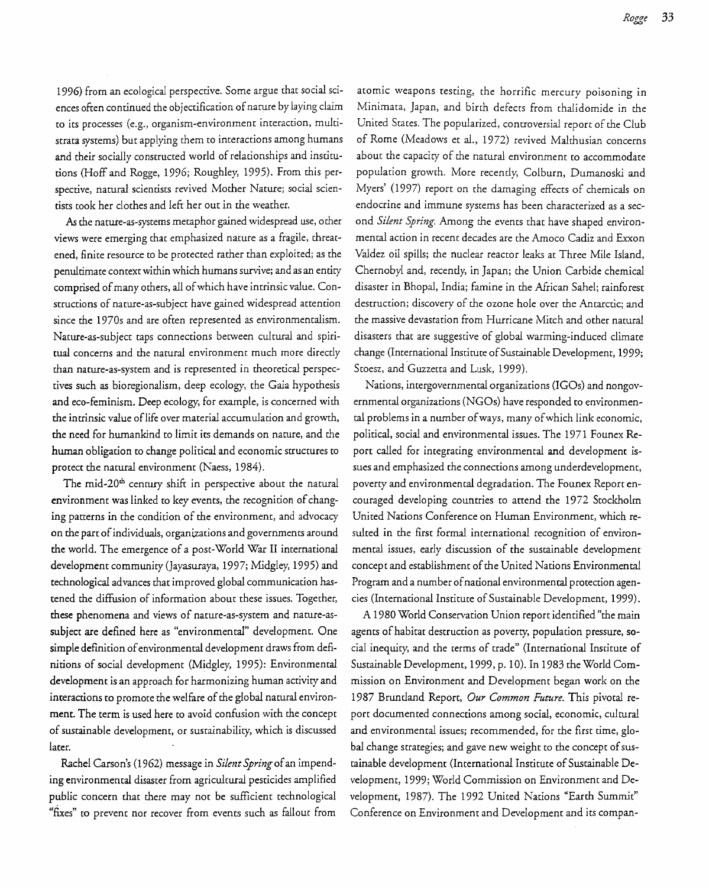1996) from an ecological perspective. Some argue that social sciences often continued the objectification of nature by laying claim to its processes (e.g., organism-environment interaction, multistrata systems) but applying them to interactions among humans and their socially constructed world of relationships and institutions (Hoff and Rogge, 1996; Roughley, 1995). From this perspective, natural scientists revived Mother Nature; social scientists took her clothes and left her out in the weather.

As the nature-as-systems metaphor gained widespread *use,* other views were emerging that emphasized nature as a fragile, threatened, finite resource to be protected rather than exploited; as the penultimate context within which humans survive; and as an entity comprised of many others, all of which have intrinsic value. Constructions of nature-as-subject have gained widespread attention since the 1970s and are often represented as environmentalism. Nature-as-subject taps connections between cultural and spiritual concerns and the natural environment much more directly than nature-as-system and is represented in theoretical perspectives such as bioregionalism, deep ecology, the Gaia hypothesis and eco-feminism. Deep ecology, for example, is concerned with the intrinsic value of life over material accumulation and growth, the need for humankind to limit its demands on nature, and the human obligation to change political and economic structures to protect the natural environment (Naess, 1984).

The mid-20<sup>th</sup> century shift in perspective about the natural environment was linked to key events, the recognition of changing patterns in the condition of the environment, and advocacy on the part of individuals, organizations and governments around the world. The emergence of a post-World War II international development community (Jayasuraya, 1997; Midgley, 1995) and technological advances that improved global communication hastened the diffusion of information about these issues. Together, these phenomena and views of nature-as-system and nature-assubject are defmed here as "environmental" development. One simple definition of environmental development draws from definitions of social development (Midgley, 1995): Environmental development is an approach for harmonizing human activity and interactions to promote the welfare of the global natural environment. The term is used here to avoid confusion with the concept of sustainable development, or sustainability, which is discussed later.

Rachel Carson's (1962) message in *Silent Spring* ofan impending environmental disaster from agricultural pesticides amplified public concern that there may not be sufficient technological "flXes" to prevent nor recover from events such as fallout from

atomic weapons testing, the horrific mercury poisoning in Minimata, Japan, and birth defects from thalidomide in the United States. The popularized, controversial report of the Club of Rome (Meadows et al., 1972) revived Malthusian concerns about the capacity of the natural environment to accommodate population growth. More recently, Colburn, Dumanoski and Myers' (1997) report on the damaging effects of chemicals on endocrine and immune systems has been characterized as a sec ond *Silent Spring.* Among the events that have shaped environ mental action in recent decades are the Amoco Cadiz and Exxon Valdez oil spills; the nuclear reactor leaks at Three Mile Island, Chernobyl and, recently, in Japan; the Union Carbide chemical disaster in Bhopal, India; famine in the African Sahel; rainforest destruction; discovery of the ozone hole over the Antarctic; and the massive devastation from Hurricane Mitch and other natural disasters that are suggestive of global warming-induced climate change (International Institute of Sustainable Development, 1999; Stoesz, and Guzzetta and Lusk, 1999).

Nations, intergovernmental organizations (IGOs) and nongovernmental organizations (NGOs) have responded to environmental problems in a number of ways, many of which link economic, political, social and environmental issues. The 1971 Founex Report called for integrating environmental and development issues and emphasized the connections among underdevelopment, poverty and environmental degradation. The Founex Report encouraged developing countries to attend the 1972 Stockholm United Nations Conference on Human Environment, which resulted in the first formal international recognition of environmental issues, early discussion of the sustainable development concept and establishment of the United Nations Environmental Program and a number of national environmental protection agencies (International Institute of Sustainable Development, 1999).

A 1980 World Conservation Union report identified "the main agents of habitat destruction as poverty, population pressure, *so*cial inequity, and the terms of trade" (International Institute of Sustainable Development, 1999, p. 10). In 1983 the World Commission on Environment and Development began work on the 1987 Bruntland Report, *Our Common Future.* This pivotal report documented connections among social, economic, cultural and environmental issues; recommended, for the first time, global change strategies; and gave new weight to the concept of sustainable development (International Institute of Sustainable Development, 1999; World Commission on Environment and Development, 1987). The 1992 United Nations "Earth Summit" Conference on Environment and Development and its compan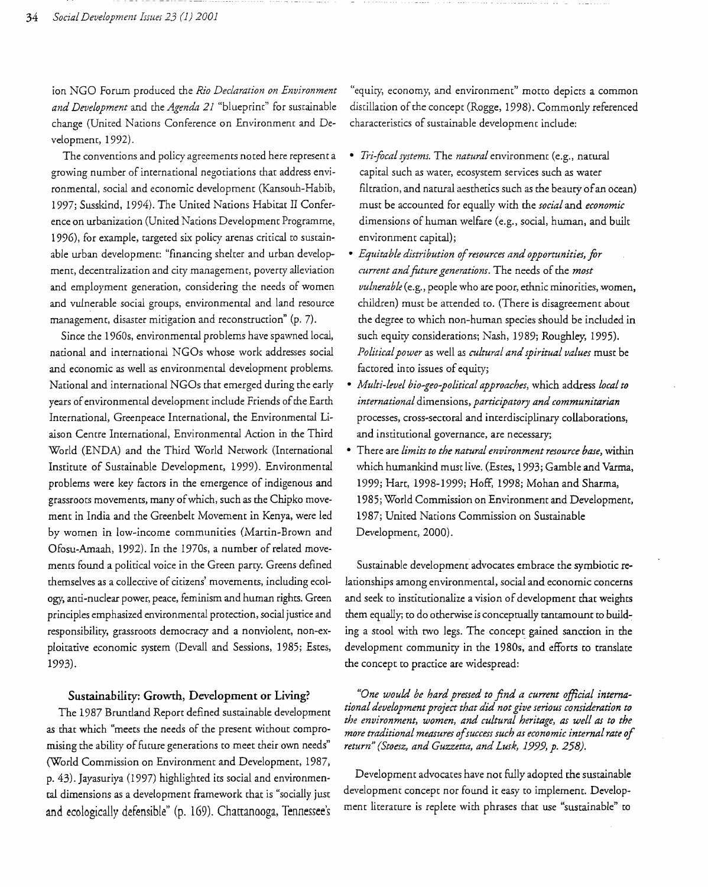ion NGO Forum produced the *Rio Declaration on Environment and Development* and the *Agenda* 21 "blueprim" for sustainable change (United Nations Conference on Environment and Developmem, 1992).

The convemions and policy agreemems noted here represent a growing number of international negotiations that address environmental, social and economic development (Kansouh-Habib, 1997; Susskind, 1994). The United Nations Habitat II Conference on urbanization (United Nations Development Programme, 1996), for example, targeted six policy arenas critical to sustainable urban development: "financing shelter and urban development, decentralization and city management, poverty alleviation and employment generation, considering the needs of women and vulnerable social groups, environmental and land resource management, disaster mitigation and reconstruction" (p. 7).

Since the 1960s, environmental problems have spawned local, national and international NGOs whose work addresses social and economic as well as environmental development problems. National and international NGOs that emerged during the early years of environmental development include Friends of the Earth International, Greenpeace International, the Environmental Liaison Centre International, Environmental Action in the Third World (ENDA) and the Third World Network (International Institute of Sustainable Developmem, 1999). Environmental problems were key factors in the emergence of indigenous and grassroots movements, many ofwhich, such as the Chipko movement in India and the Greenbelt Movement in Kenya, were led by women in low-income communities (Martin-Brown and Ofosu-Amaah, 1992). In the 1970s, a number of related movements found a political voice in the Green party. Greens defined themselves as a collective of citizens' movements, including ecology, anti-nuclear power, peace, feminism and human rights. Green principles emphasized environmental protection, social justice and responsibility, grassroots democracy and a nonviolent, non-exploitative economic system (Devall and Sessions, 1985; Estes, 1993).

## Sustainability: Growth, Development or Living?

The 1987 Bruntland Report defined sustainable development as that which "meets the needs of the present without compromising the ability of future generations to meet their own needs" (World Commission on Environment and Development, 1987, p. 43). Jayasuriya (1997) highlighted its social and environmental dimensions as a development framework that is "socially just and ecologically defensible" (p. 169). Chattanooga, Tennessee's "equicy, economy, and environment" motto depicts a common distillation of the concept (Rogge, 1998). Commonly referenced characteristics of sustainable development include:

- *Tri-focal systems*. The *natural* environment (e.g., natural capital such as water, ecosystem services such as water filtration, and natural aesthetics such as the beauty of an ocean) must be accounted for equally with the *social* and *economic*  dimensions of human welfare (e.g., social, human, and built environment capital);
- *Equitable distribution ofresources and opportunities, for current andfUture generations.* The needs of the *most vulnerable* (e.g., people who are poor, ethnic minorities, women, children) must be attended to. (There is disagreement about the degree to which non-human species should be included in such equity considerations; Nash, 1989; Roughley, 1995). *Politicalpower* as well as *cultural and spiritual values* must be factored into issues of equity;
- *Multi-level bio-geo-political approaches,* which address *local to international* dimensions, *participatory and communitarian*  processes, cross-seccoral and incerdisciplinary collaborations, and institutional governance, are necessary;
- There are *limits to the natural environment resource base,* within which humankind must live. (Estes, 1993; Gamble and Varma, 1999; Hart, 1998-1999; Hoff, 1998; Mohan and Sharma, 1985; World Commission on Environment and Development, 1987; United Nations Commission on Sustainable Development, 2000).

Sustainable development advocates embrace the symbiotic relationships among environmental, social and economic concerns and seek to institutionalize a vision of development that weights them equally; to do otherwise is conceptually tantamount to building a stool with two legs. The concept gained sanction in the development community in the *19805,* and efforts to translate the concept to practice are widespread:

*tional development project that did not give serious consideration to "One would be hard pressed to find a current official internathe environment, women, and cultural heritage, as well as to the more traditional measures o/success such as economic internal rate 0/ return" (Stoesz, and Guzzetta, and Lusk,* 1999, *p. 258).* 

Development advocates have not fully adopted the sustainable development concept nor found it easy to implement. Development literature is replete with phrases that use "sustainable" to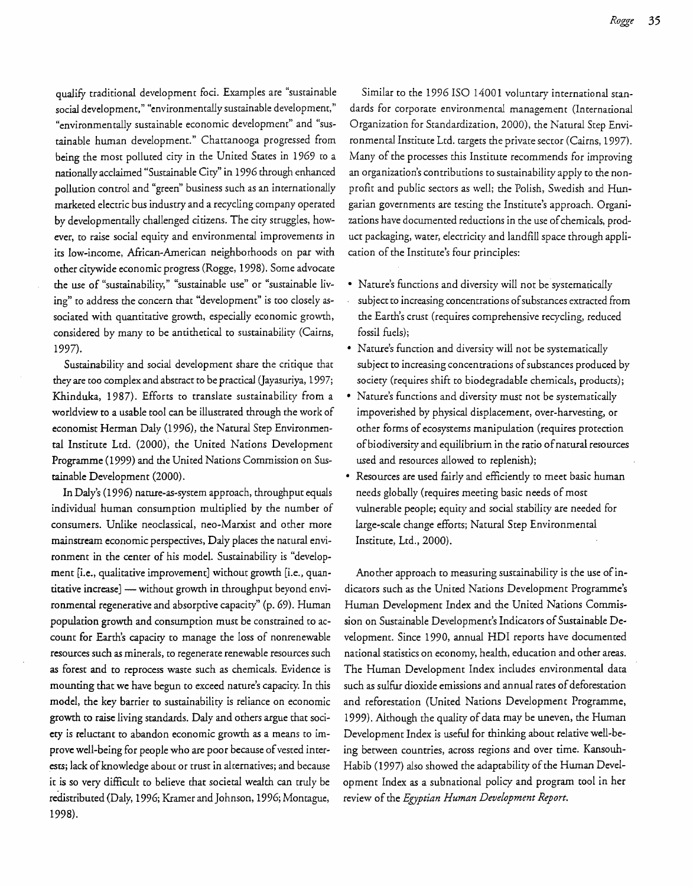qualify traditional development foci. Examples are "sustainable social development," "environmentally sustainable development," "environmentally sustainable economic development" and "sustainable human development." Chattanooga progressed from being the most polluted city in the United States in 1969 to a nationally acclaimed "Sustainable Ciry" in 1996 through enhanced pollution control and "green" business such as an internationally marketed electric bus indusrry and a recycling company operated by developmentally challenged citizens. The city struggles, however, to raise social equity and environmental improvements in its low-income, African-American neighborhoods on par with other citywide economic progress (Rogge, 1998). Some advocate the use of "sustainabiliry," "sustainable use" or "sustainable living" to address the concern that "development" is too closely associated with quantitative growth, especially economic growth, considered by many to be antithetical to sustainabiliry (Cairns, 1997).

Sustainability and social development share the critique that they are too complex and abstract to be practical (Jayasuriya, 1997; Khinduka, 1987). Efforts to translate sustainability from a worldview to a usable tool can be illustrated through the work of economist Herman Daly (1996), the Natural Step Environmental Institute Ltd. (2000), the United Nations Development Programme (1999) and the United Nations Commission on Sustainable Development (2000).

In Daly's (1996) narure-as-system approach, throughput equals individual human consumption multiplied by the number of consumers. Unlike neoclassical, neo-Marxist and other more mainstream economic perspectives, Daly places the natural environment in the center of his model. Sustainability is "development [i.e., qualitative improvement] without growth [i.e., quantitative increase] - without growth in throughput beyond environmental regenerative and absorptive capacity" (p. 69). Human population growth and consumption must be constrained to account for Earth's capacicy to manage the loss of nonrenewable resources such as minerals, to regenerate renewable resources such as forest and to reprocess waste such as chemicals. Evidence is mounting that we have begun to exceed nature's capacity. In this model, the key barrier to sustainability is reliance on economic growth to raise living standards. Daly and others argue that society is reluctant to abandon economic growth as a means to improve well-being for people who are poor because of vested interests; lack of knowledge about or trust in alternatives; and because it is so very difficult to believe that societal wealth can truly be redistributed (Daly, 1996; Kramer and Johnson, 1996; Montague, 1998).

Similar to the 1996 ISO 14001 voluntary international stan dards for corporate environmental management (International Organization for Standardization, 2000), the Natural Step Envi ronmental Institute Ltd. targets the private sector (Cairns, 1997). Many of the processes this Institute recommends for improving an organization's contributions to sustainability apply to the non profit and public sectors as well; the Polish, Swedish and Hun garian governments are testing the Institute's approach. Organi zations have documented reductions in the use of chemicals, product packaging, water, electricity and landfill space through appli cation of the Institute's four principles:

- • Nature's functions and diversity will not be systematically
- subject to increasing concenuations ofsubstances extracted from the Earth's crust (requires comprehensive recycling, reduced fossil fuels);
- • Nature's function and diversity will not be systematically subject to increasing concentrations of substances produced by society (requires shift to biodegradable chemicals, products);
- • Nature's functions and diversity must not be systematically impoverished by physical displacement, over-harvesting, or other forms of ecosystems manipulation (requires protection ofbiodiversity and equilibrium in the ratio ofnatural resources used and resources allowed to replenish);
- Resources are used fairly and efficiently to meet basic human needs globally (requires meeting basic needs of most vulnerable people; equity and social stability are needed for large-scale change efforts; Natural Step Environmental Institute, Ltd., 2000).

Another approach to measuring sustainability is the use of indicators such as the United Nations Development Programme's Human Development Index and the United Nations Commission on Sustainable Development's Indicators of Sustainable Development. Since 1990, annual HDI reports have documented national statistics on economy, health, education and other areas. The Human Development Index includes environmental data such as sulfur dioxide emissions and annual rates of deforestation and reforestation (United Nations Development Programme, 1999). Although the quality of data may be uneven, the Human Development Index is useful for thinking about relative well-being between countries, across regions and over time. Kansouh-Habib (1997) also showed the adaptability of the Human Development Index as a subnational policy and program tool in her review of the *Egyptian Human Development Report*.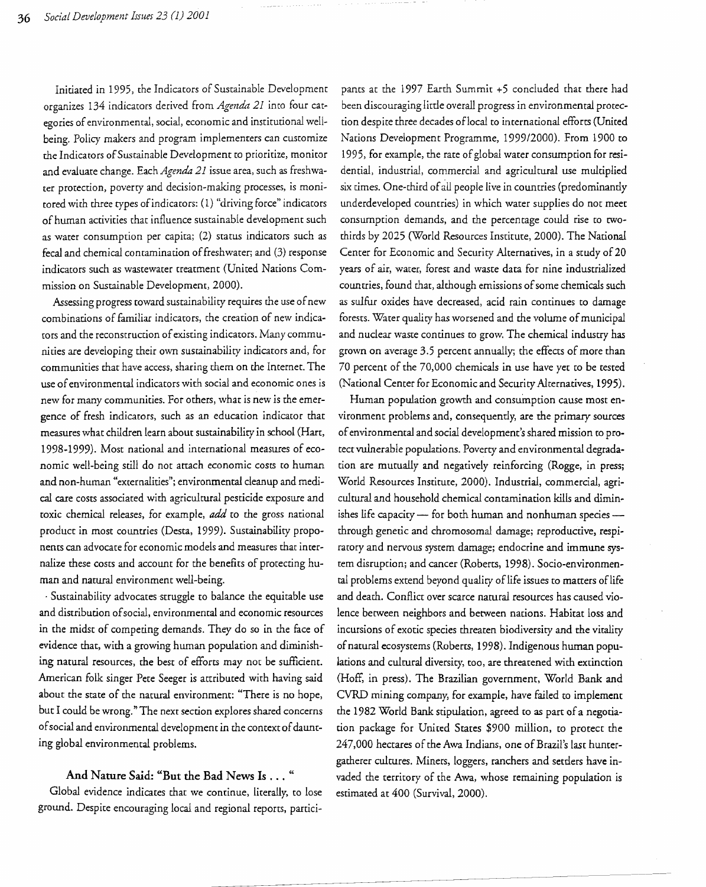Initiated *in* 1995, the Indicators of Sustainable Development organizes 134 indicators derived from *Agenda* 21 into four cat~ egories of environmental, social, economic and institutional well~ being. Policy makers and program implementers can customize the Indicators of Sustainable Development to prioritize, monitor and evaluate change. Each *Agenda* 21 issue area, such as freshwater protection, poverty and decision~making processes, is monitored with three types ofindicators: (1) "driving force" indicators of human activities that influence sustainable development such as water consumption per capita; (2) status indicators such as fecal and chemical contamination of freshwater; and (3) response indicators such as wastewater treatment (United Nations Commission on Sustainable Development, 2000).

Assessing progress toward sustainability requires the use of new combinations of familiar indicators, the creation of new indicators and the reconstruction of existing indicators. Many communities are developing their own susrainability indicators and, for communities that have access, sharing them on the Internet. The use ofenvironmental indicators with social and economic ones *is*  new for many communities. For others, what is new *is* the emergence of fresh indicators, such as an education indicator that measures what children learn about sustainability in school (Hart, 1998-1999). Most national and international measures of economic well-being still do not arrach economic costs to human and non-human "externalities"; environmental cleanup and medical care cOSts associated with agricultural pesticide exposure and toxic chemical releases, for example, *add* to the gross national product in most countries (Desta, 1999). Sustainability proponents can advocate for economic models and measures that internalize these costs and account for the benefits of protecting human and natural environment well-being.

. Sustainability advocates struggle co balance the equitable use and distribution ofsocial, environmental and economic resources in the midst of competing demands. They do so in the face of evidence that, with a growing human population and diminishing natural resources, the best of efforts may not be sufficient. American folk singer Pete Seeger is attributed with having said about the state of the natural environment: "There is no hope, but I could be wrong." The next section explores shared concerns of social and environmental development in the context of daunting global environmental problems.

### And Nature Said.: "But the Bad News Is ... "

Global evidence indicates that we continue, literally, to lose ground. Despite encouraging local and regional reports, partici-

pants at the 1997 Earth Summit +5 concluded that there had been discouraging little overall progress in environmental protection despite three decades oflocal to international efforts (United Nations Development Programme, 1999/2000). From 1900 to 1995, for example, the rate of global water consumption for residential, industrial, commercial and agricultural use multiplied six times. One-third of all people live in countries (predominantly underdeveloped countries) in which water supplies do not meet consumption demands, and the percentage could rise to twothirds by 2025 (World Resources Institute, 2000). The National Center for Economic and Security Alternatives, in a study of 20 years of air, water, forest and waste data for nine industrialized countries, found that, although emissions of some chemicals such as sulfur oxides have decreased, acid rain continues to damage forests. Water quality has worsened and the volume of municipal and nuclear waste continues to grow. The chemical industry has grown on average 3.5 percent annually; the effects of more than 70 percent of the 70,000 chemicals in use have yet to be tested (National Center for Economic and Security Alternatives, 1995).

Human population growth and consumption cause most environment problems and, consequently, are the primary sources ofenvironmental and social development's shared mission to protect vulnerable populations. Poverty and environmental degradation are mutually and negatively reinforcing (Rogge, in press; World Resources Institute, 2000). Industrial, commercial, agricultural and household chemical contamination kills and diminishes life capacity - for both human and nonhuman species through genetic and chromosomal damage; reproductive, respiratory and nervous system damage; endocrine and immune system disruption; and cancer (Roberts, 1998). Socio-environmental problems extend beyond quality of life issues to matters of life and death. Conflict over scarce natural resources has caused violence between neighbors and between nations. Habitat loss and incursions of exotic species threaten biodiversity and the vitality of natural ecosystems (Roberts, 1998). Indigenous human populations and cultural diversity, too, are threatened with extinction (Hoff, in press). The Brazilian government, World Bank and CVRD mining company, for example, have failed to implement the 1982 World Bank stipulation, agreed to as part of a negotiation package for United States \$900 million, to protect the 247,000 hectares of the Awa Indians, one of Brazil's last huntergatherer cultures. Miners, loggers, ranchers and setders have invaded the territory of the Awa, whose remaining population is estimated at 400 (Survival, 2000).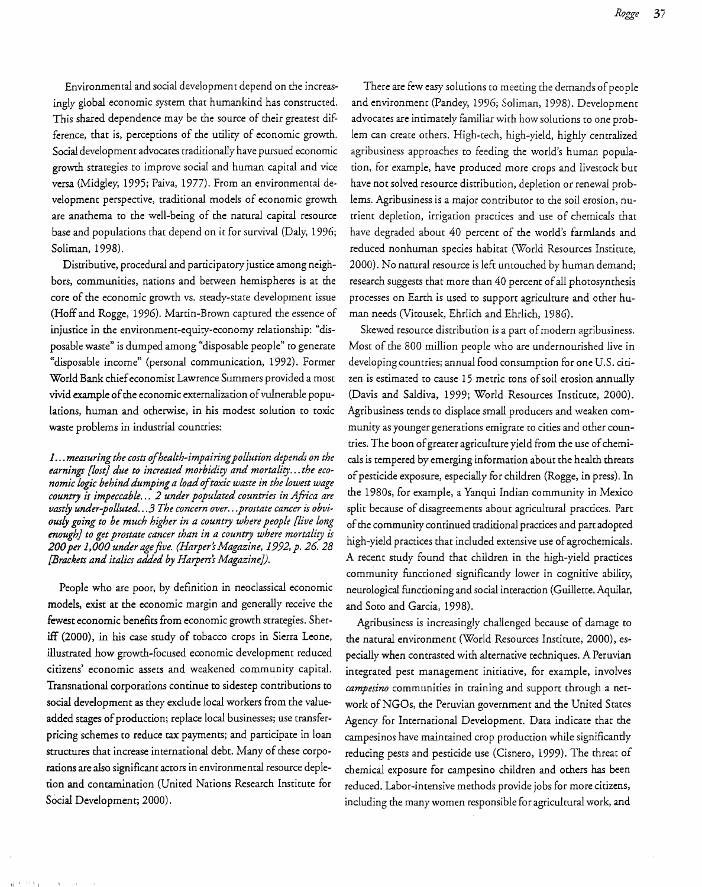Environmental and social developmen t depend on the increasingly global economic system that humankind has constructed. This shared dependence may be the source of their greatest difference, that is, perceptions of the utility of economic growth. Social development advocates traditionally have pursued economic growth strategies to improve social and human capital and vice versa (Midgley, 1995; Paiva, 1977). From an environmental development perspective, traditional models of economic growth are anathema to the well-being of the natural capital resource base and populations that depend on it for survival (Daly, 1996; Soliman, 1998).

Distributive, procedural and participatory justice among neighbors, communities, nations and between hemispheres is at the core of the economic growth vs. steady-state development issue (Hoff and Rogge, 1996). Martin-Brown captured the essence of injustice in the environment-equity-economy relationship: "disposable waste" is dumped among "disposable people" to generate "disposable income" (personal communication, 1992). Former World Bank chief economist Lawrence Summers provided a most vivid example of the economic externalization of vulnerable populations, human and otherwise, in his modest solution to toxic waste problems in industrial countries:

*1...measuringthe costs ofhealth-impairingpollution depends on the earnings [lost} due to increased morbidity and mortality.*.. *the economic logic behind dumping a load of toxic waste in the lowest wage country is impeccable.*.. 2 *under populated countries in Aftica are vastly under-polluted.*..3 *The concern over.*.*.prostate cancer is obviously going to be much higher in a country where people [live long enough} to get prostate cancer than in a country where mortality is 200per* 1~000 *under agefive. (Harpers Magazine,* 1992, *p.* 26. 28 *(Brackets and italics added by Harpers's Magazine}).* 

People who are poor, by definition in neoclassical economic models, exist at the economic margin and generally receive the fewest economic benefits from economic growth strategies. Sheriff (2000), in his case study of tobacco crops in Sierra Leone, illustrated how growth-focused economic development reduced citizens' economic assets and weakened community capital. Transnational corporations continue to sidestep contributions to social development as they exclude local workers from the valueadded stages of production; replace local businesses; use transferpricing schemes to reduce tax payments; and participate in loan structures that increase international debt. Many of these corporations are also significant actors in environmental resource depletion and contamination (United Nations Research Institute for Social Development; 2000).

Ii' 'II

There are few easy solutions to meeting the demands of people and environment (Pandey, 1996; Soliman, 1998). Development advocates are intimately familiar with how solutions to one problem can create others. High-tech, high-yield, highly centralized agribusiness approaches to feeding the world's human population, for example, have produced more crops and livestock but have not solved resource distribution, depletion or renewal problems. Agribusiness is a major contributor to the soil erosion, nutrient depletion, irrigation practices and use of chemicals that have degraded about 40 percent of the world's farmlands and reduced nonhuman species habitat (World Resources Institute, 2000). No natural resource is left untouched by human demand; research suggests that more than 40 percent of all photosynthesis processes on Earth is used to support agriculture and other human needs (Vitousek, Ehrlich and Ehrlich, 1986).

Skewed resource distribution is a part of modern agribusiness. Most of the 800 million people who are undernourished live in developing countries; annual food consumption for one U.S. citizen is estimated to cause 15 metric tons of soil erosion annually (Davis and Saldiva, 1999; World Resources Institute, 2000). Agribusiness tends to displace small producers and weaken community as younger generations emigrate co cities and other countries. The boon of greater agriculture yield from the use of chemicals is tempered by emerging information about the health threats of pesticide exposure, especially for children (Rogge, in press). In the 1980s, for example, a Yanqui Indian community in Mexico split because of disagreements about agricultural practices. Part of the community continued traditional practices and part adopted high-yield practices that included extensive use of agrochemicals. A recent study found that children in the high-yield practices community functioned significantly lower in cognitive ability, neurological functioning and social interaction (Guillette, Aquilar, and Soto and Garcia, 1998).

Agribusiness is increasingly challenged because of damage to the natural environment (World Resources Institute, 2000), especially when contrasted with alternative techniques. A Peruvian integrated pest management initiative, for example, involves *campesino* communities in training and support through a network of NGOs, the Peruvian government and the United States Agency for International Development. Data indicate that the campesinos have maintained crop production while significandy reducing pests and pesticide use (Cisnero, 1999). The threat of chemical exposure for campesino children and others has been reduced. Labor-intensive methods provide jobs for more citizens, including the many women responsible for agricultural work, and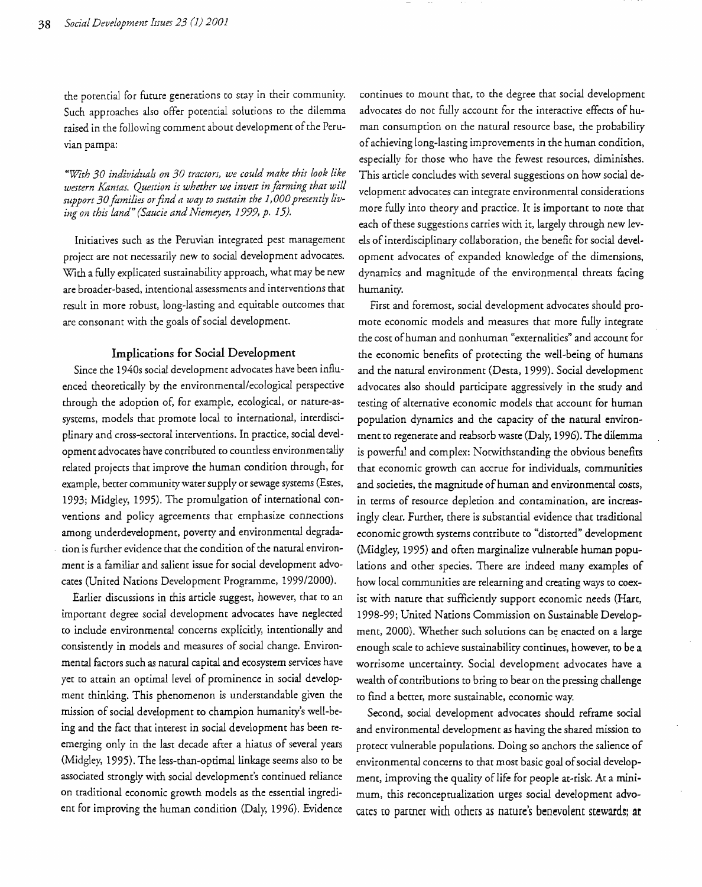the potential for future generations to stay in their community. Such approaches also offer potential solutions to the dilemma raised in the following comment about development of the Peruvian pampa:

*"With 30 individuals on 30 tractors, we could make this look like western Kansas. Question is whether we invest in farming that will support 30families otfind a way to sustain the 1,000presently living on this land" (Saucie and Niemeyer,* 1999, *p. 15).* 

Initiatives such as the Peruvian integrated pest management project are not necessarily new to social development advocates. With a fully explicated sustainability approach, what may be new are broader-based, intentional assessments and interventions that result in more robust, long-lasting and equitable outcomes that are consonant with the goals of social development.

### Implications for Social Development

Since the *1940s* social development advocates have been influenced theoretically by the environmental/ecological perspective through the adoption of, for example, ecological, or nature-assystems, models that promote local to international, interdisciplinary and cross-sectoral interventions. In practice, social development advocates have contributed to countless environmentally related projects that improve the human condition through, for example, better community water supply or sewage systems (Estes, 1993; Midgley, 1995). The promulgation of international conventions and policy agreements that emphasize connections among underdevelopment, poverty and environmental degradation is further evidence that the condition of the natural environment is a familiar and salient issue for social development advocates (United Nations Development Programme, 1999/2000).

Earlier discussions in this article suggest, however, that to an important degree social development advocates have neglected to include environmental concerns explicitly, intentionally and consistently in models and measures of social change. Environmental factors such as natural capital and ecosystem services have yet to attain an optimal level of prominence in social development thinking. This phenomenon is understandable given the mission of social development to champion hwnanity's well-being and the fact that interest in social development has been reemerging only in the last decade after a hiatus of several years (Midgley, 1995). The less-than-optimal linkage seems also to be associated strongly with social development's continued reliance on traditional economic growth models as the essential ingredient for improving the human condition (Daly, 1996). Evidence

continues to moune that, to the degree that social development advocates do not fully account for the interactive effects of human consumption on the natural resource base, the probability ofachieving long-lasting improvements in the human condition, especially for those who have the fewest resources, diminishes. This article concludes with several suggestions on how social development advocates can integrate environmental considerations more fully into theory and practice. It is important to note that each of these suggestions carries with it, largely through new levels of interdisciplinary collaboration, the benefit for social development advocates of expanded knowledge of the dimensions, dynamics and magnitude of the environmental threats facing humanity.

First and foremost, social development advocates should promote economic models and measures that more fully integrate the cost ofhuman and nonhuman "externalities" and account for the economic benefits of protecting the well-being of humans and the natural environment (Desta, 1999). Social development advocates also should participate aggressively in the srudy and testing of alternative economic models that account for human population dynamics and the capacity of the narural environment to regenerate and reabsorb waste (Daly, 1996). The dilemma is powerful and complex: Notwithstanding the obvious benefits that economic growth can accrue for individuals, communities and societies, the magnitude of human and environmental costs, in terms of resource depletion. and contamination, are increasingly clear. Further, there is substantial evidence that traditional economic growth systems contribute to "distorted" development (Midgley, 1995) and often marginalize vulnerable human populations and other species. There are indeed many examples of how local communities are relearning and creating ways to coexist with nature that sufficiently support economic needs (Hart, 1998-99; United Nations Commission on Sustainable Development, 2000). Whether such solutions can be enacted on a large enough scale to achieve sustainability continues, however, to be a worrisome uncertainty. Social development advocates have a wealth of contributions to bring to bear on the pressing challenge to find a better, more sustainable, economic way.

Second, social development advocates should reframe social and environmental development as having the shared mission to protect vulnerable populations. Doing so anchors the salience of environmental concerns to that most basic goal of social development, improving the quality of life for people at-risk. At a minimum, this reconceprualization urges social development advocares to partner with others as nature's benevolent stewards; at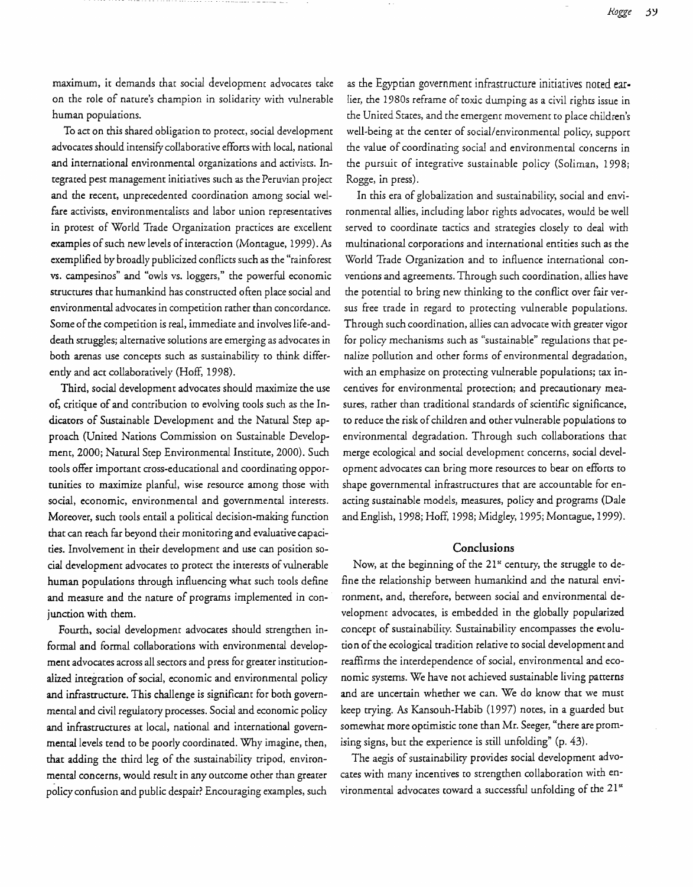*J<ogge* j~

maximum, it demands that social development advocates take on the role of nature's champion in solidarity with vulnerable human populations.

To act on this shared obligation to protect, social development advocates should intensify collaborative efforts with local, national and international environmental organizations and activists. Integrated pest management initiatives such as the Peruvian project and the recent, unprecedented coordination among social welfare activists, environmentalists and labor union representatives in protest of World Trade Organization practices are excellent examples of such new levels of interaction (Montague, 1999). As exemplified by broadly publicized conflicts such as the "rainforest vs. campesinos" and "owls vs. loggers," the powerful economic structures that humankind has constructed often place social and environmental advocates in competition rather than concordance. Some of the competition is real, immediate and involves life-anddeath struggles; alternative solutions are emerging as advocates in both arenas use concepts such as sustainabiliry to think differently and act collaboratively (Hoff, 1998).

Third, social development advocates should maximize the use of, critique of and contribution to evolving tools such as the Indicators of Sustainable Development and the Natural Step approach (United Nations Commission on Sustainable Development, 2000; Natural Step Environmental Institute, 2000). Such tools offer important cross-educational and coordinating opportunities to maximize planful, wise resource among those with social, economic, environmental and governmental interests. Moreover, such tools entail a political decision-making function that can reach far beyond their monitoring and evaluative capacities. Involvement in their development and use can position social development advocates to protect the interests of vulnerable human populations through influencing what such tools define and measure and the nature of programs implemented in conjunction with them.

Fourth, social development advocates should strengthen informal and formal collaborations with environmental development advocates across all sectors and press for greater institutionalized integration of social, economic and environmental policy and infrastructure. This challenge is significant for both governmental and civil regulatory processes. Social and economic policy and infrastructures at local, national and international governmental levels tend to be poorly coordinated. Why imagine, then, that adding the third leg of the sustainabiliry tripod, environmental concerns, would result in any outcome other than greater policy confusion and public despair? Encouraging examples, such

as the Egyptian governmenr infrastructure initiatives noted earlier, the 1980s reframe of toxic dumping as a civil rights issue in the United States, and the emergent movement to place children's well-being at the center of social/environmental policy, support the value of coordinating social and environmental concerns in the pursuit of integrative sustainable policy (Soliman, 1998; Rogge, in press).

In this era of globalization and sustainability, social and environmental allies, including labor rights advocates, would be well served to coordinate tactics and strategies closely to deal with multinational corporations and international entities such as the World Trade Organization and to influence international conventions and agreements. Through such coordination, allies have the potential to bring new thinking to the conflict over fair versus free trade in regard to protecting vulnerable populations. Through such coordination, allies can advocate with greater vigor for policy mechanisms such as "sustainable" regulations that penalize pollution and other forms of environmental degradation, with an emphasize on protecting vulnerable populations; tax incentives for environmental protection; and precautionary measures, rather than traditional standards of scientific significance, to reduce the risk of children and other vulnerable populations to environmental degradation. Through such collaborations that merge ecological and social development concerns, social development advocates can bring more resources to bear on efforts to shape governmental infrastructures that are accountable for enacting sustainable models, measures, policy and programs (Dale and English, 1998; Hoff, 1998; Midgley, 1995; Montague, 1999).

# Conclusions

Now, at the beginning of the 21<sup>st</sup> century, the struggle to define the relationship between humankind and the natural environment, and, therefore, between social and environmental development advocates, is embedded in the globally popularized concept of sustainability. Sustainability encompasses the evolution of the ecological tradition relative to social development and reaffirms the interdependence of social, environmental and economic systems. We have not achieved sustainable living patterns and are uncertain whether we can. We do know that we must keep trying. As Kansouh-Habib (1997) notes, in a guarded but somewhat more optimistic tone than Mr. Seeger, "there are promising signs, but the experience is still unfolding" (p. 43).

The aegis of sustainabiliry provides social development advocates with many incentives to strengthen collaboration with environmental advocates toward a successful unfolding of the  $21<sup>st</sup>$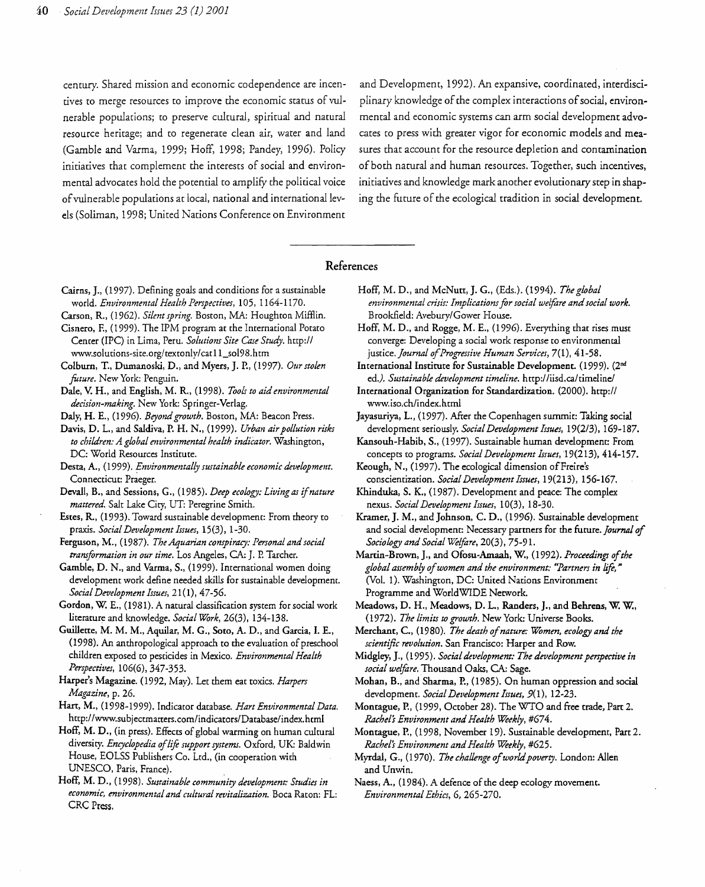els (Soliman, 1998; United Nations Conference on Environment

century. Shared mission and economic codependence are incen- and Development, 1992). An expansive, coordinated, interdiscitives to merge resources to improve the economic status of vul-<br>plinary knowledge of the complex interactions of social, environnerable populations; to preserve cultural, spiritual and natural mental and economic systems can arm social development advoresource heritage; and to regenerate clean air, water and land cates co press with greater vigor for economic models and mea (Gamble and Varma, 1999; Hoff, 1998; Pandey, 1996). Policy sures that account for the resource depletion and contamination initiatives that complement the interests of social and environ- of both natural and human resources. Together, such incentives, mental advocates hold the potential to amplify the political voice initiatives and knowledge mark another evolutionary step in shapofvulnerable populations at local, national and international lev ing the future of the ecological tradition in social development.

# References

- Cairns, J., (1997). Defining goals and conditions for a sustainable Hoff, M. D., and McNutt, J. G., (Eds.). (1994). The global
- Carson, R, (1962). *Silent spring.* Boston, MA: Houghton Mifflin. Brookfield: Avebury/Gower House.
- 
- Colburn, T., Dumanoski, D., and Myers, J. P., (l997). *Our stolen* International Institute for Sustainable Devdopment. (I999). (2nd *fUture.* New York: Penguin. ed.). *Sustainable development timeline.* http://iisd.caltimeline/
- *decision-making.* New York: Springer-Verlag. www.iso.ch/index.html
- 
- *to children: A global environmental health indiCator.* Washington, Kansouh-Habib, S., (I997). Sustainable hwnan development: From
- Desta, A., (1999). *Environmentally sustainable economic development.* Keough, N., (1997). The ecological dimension of Freire's Connecticut: Praeger. conscientization. *Social Development Issues,* 19(213), 156-167.
- *mattered.* Salt Lake City, UT: Peregrine Smirh. nexus. *Social Development Issues,* 10(3), 18-30.
- 
- Ferguson, M., (1987). *The Aquarian conspiraq: Personal and social Sociology and Social Welfare,* 20(3), 75-91.
- Gamble, D. N., and Varma, S., (1999). International women doing *global assembly of women and the environment: "Partners in life,"* development work define needed skills for sustainable development. (Vol. 1). Washington, DC: United Nations Environment *Social Development Issues,* 2l(I), 47-56. Programme and WorldWIDE Network.
- literature and knowledge. *Social WOrk,* 26(3), 134-138. (l972). *The limits to growth.* New York: Universe Books.
- (I998). An anthropological approach to the evaluation of preschool *scientific revolution.* San Francisco: Harper and Row:. *Perspectives,* 106(6),347-353. *social welfare.* Thousand Oaks, CA: Sage.
- *Magazine,* p. 26. development. *Social Dezlelopment Issues,* 9(I), 12-23.
- http://www.subjeccmarrers.com/indicators/Database/index.html *Rachel's Environment and Health Weekly, #674.*
- Hoff, M. D., (in press). Effects of global warming on hwnan cultural Montague, P., (1998, November 19). Sustainable development, Part 2. diversity. *Encyclopedia* of*life support systems.* Oxford, UK: Baldwin *Rachel's Environment and Health Weekly,* #625. House, EOLSS Publishers Co. Ltd., (in cooperation with Myrdal, G., (1970). *The challenge of world poverty*. London: Allen UNESCO, Paris, France). **and Unwin. and Unwin.**
- Hoff, M. D., (1998). *Sustainable community development: Studies in* Naess, A., (1984). A defence of the deep ecology movement. *economic, environmental and cultural revitalization.* Boca Raton: FL: *Environmental Ethics,* 6, 265-270. CRC Press.
- world. *Environmental Health Perspectives,* 105,1164-1170. *environmental crisis: Implicationsfor social welfare andsocial work.*
- Cisnero, F., (1999). The IPM program at the International Potato Hoff, M. D., and Rogge, M. E., (1996). Everything that rises must Center (IPC) in Lima, Peru. *Solutions Site Case Study. http://* converge: Developing a social work response to environmental www.solutions-site.org/textonly/catll\_so198.htm justice. *Journal ofProgressive Human Services,* 7(1),41-58.
	-
- Dale, V. H., and English, M. R, (1998). *Tooir to aid environmental* International Organization for Standardization. (2000). *http://*
- Daly, H. E., (1996). *Beyond growth.* Boston, MA: Beacon Press. Jayasuriya, 1., (1997). After the Copenhagen summit: Taking social Davis, D. L., and Saldiva, P. H. N., (1999). *Urban airpollution risks* development seriously. *Social Development Issues,* 19(2/3), *169-187.* 
	- DC: World Resources Institute. **concepts to programs.** Social Development Issues, 19(213), 414-157.
		-
- Devall, B., and Sessions, G., (1985). *Deep ecology: Living as ifnature* Khinduka, S. K., (1987). Development and peace: The complex
- Estes, R., (1993). Toward sustainable development: From theory to Kramer, J. M., and Johnson, C. D., (1996). Sustainable development praxis. *Social Development Issues,* 15(3), 1-30. and social development: Necessary partners for the future. *Journal of* 
	- *transformation in our time.* Los Angeles, CA: J. P. Tarcher. Martin-Brown, J., and Ofosu-Amaah, W., (1992). Proceedings of the
- Gordon, W. E., (1981). A natural classification system for social work Meadows, D. H., Meadows, D. L., Randers, J., and Behrens, W. W.,
- Guillette, M. M. M., Aquilar, M. G., Soto, A. D., and Garcia, I. E., Merchant, c., (I980). *The death o/nature: WOmen, ecology and the* 
	- children exposed to pesticides in Mexico. *Environmental Health* Midgley, J., (1995). *Social development: The development perspective in*
- Harper's Magazine. (1992, May). Let them eat toxics. *Harpers* Mohan, B., and Sharma, P., (1985). On human oppression and social
- Hart, M., (1998-1999). Indicator database. *Hart Environmental Data.* Montague, P., (1999, October 28). The WTO and free trade, Part 2.
	-
	-
	-